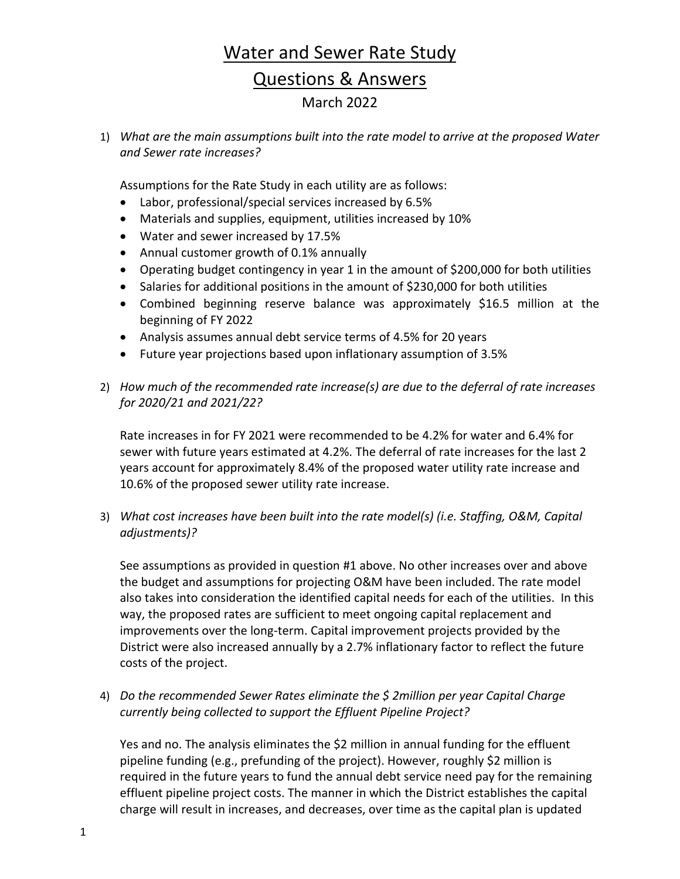1) *What are the main assumptions built into the rate model to arrive at the proposed Water and Sewer rate increases?*

Assumptions for the Rate Study in each utility are as follows:

- Labor, professional/special services increased by 6.5%
- Materials and supplies, equipment, utilities increased by 10%
- Water and sewer increased by 17.5%
- Annual customer growth of 0.1% annually
- Operating budget contingency in year 1 in the amount of \$200,000 for both utilities
- Salaries for additional positions in the amount of \$230,000 for both utilities
- Combined beginning reserve balance was approximately \$16.5 million at the beginning of FY 2022
- Analysis assumes annual debt service terms of 4.5% for 20 years
- Future year projections based upon inflationary assumption of 3.5%
- 2) *How much of the recommended rate increase(s) are due to the deferral of rate increases for 2020/21 and 2021/22?*

Rate increases in for FY 2021 were recommended to be 4.2% for water and 6.4% for sewer with future years estimated at 4.2%. The deferral of rate increases for the last 2 years account for approximately 8.4% of the proposed water utility rate increase and 10.6% of the proposed sewer utility rate increase.

3) *What cost increases have been built into the rate model(s) (i.e. Staffing, O&M, Capital adjustments)?*

See assumptions as provided in question #1 above. No other increases over and above the budget and assumptions for projecting O&M have been included. The rate model also takes into consideration the identified capital needs for each of the utilities. In this way, the proposed rates are sufficient to meet ongoing capital replacement and improvements over the long-term. Capital improvement projects provided by the District were also increased annually by a 2.7% inflationary factor to reflect the future costs of the project.

4) *Do the recommended Sewer Rates eliminate the \$ 2million per year Capital Charge currently being collected to support the Effluent Pipeline Project?*

Yes and no. The analysis eliminates the \$2 million in annual funding for the effluent pipeline funding (e.g., prefunding of the project). However, roughly \$2 million is required in the future years to fund the annual debt service need pay for the remaining effluent pipeline project costs. The manner in which the District establishes the capital charge will result in increases, and decreases, over time as the capital plan is updated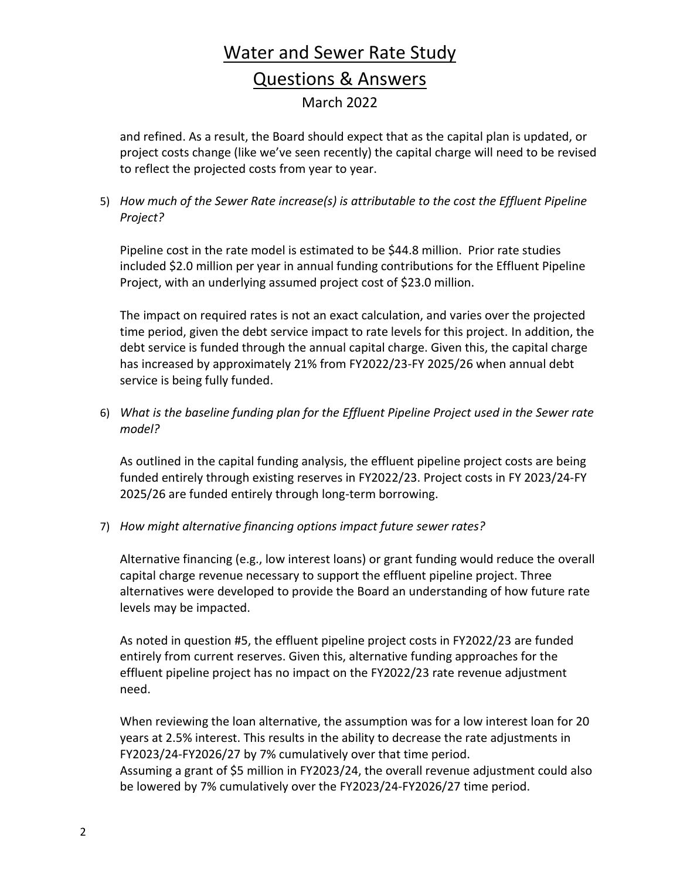and refined. As a result, the Board should expect that as the capital plan is updated, or project costs change (like we've seen recently) the capital charge will need to be revised to reflect the projected costs from year to year.

5) *How much of the Sewer Rate increase(s) is attributable to the cost the Effluent Pipeline Project?*

Pipeline cost in the rate model is estimated to be \$44.8 million. Prior rate studies included \$2.0 million per year in annual funding contributions for the Effluent Pipeline Project, with an underlying assumed project cost of \$23.0 million.

The impact on required rates is not an exact calculation, and varies over the projected time period, given the debt service impact to rate levels for this project. In addition, the debt service is funded through the annual capital charge. Given this, the capital charge has increased by approximately 21% from FY2022/23-FY 2025/26 when annual debt service is being fully funded.

6) *What is the baseline funding plan for the Effluent Pipeline Project used in the Sewer rate model?*

As outlined in the capital funding analysis, the effluent pipeline project costs are being funded entirely through existing reserves in FY2022/23. Project costs in FY 2023/24-FY 2025/26 are funded entirely through long-term borrowing.

7) *How might alternative financing options impact future sewer rates?*

Alternative financing (e.g., low interest loans) or grant funding would reduce the overall capital charge revenue necessary to support the effluent pipeline project. Three alternatives were developed to provide the Board an understanding of how future rate levels may be impacted.

As noted in question #5, the effluent pipeline project costs in FY2022/23 are funded entirely from current reserves. Given this, alternative funding approaches for the effluent pipeline project has no impact on the FY2022/23 rate revenue adjustment need.

When reviewing the loan alternative, the assumption was for a low interest loan for 20 years at 2.5% interest. This results in the ability to decrease the rate adjustments in FY2023/24-FY2026/27 by 7% cumulatively over that time period. Assuming a grant of \$5 million in FY2023/24, the overall revenue adjustment could also be lowered by 7% cumulatively over the FY2023/24-FY2026/27 time period.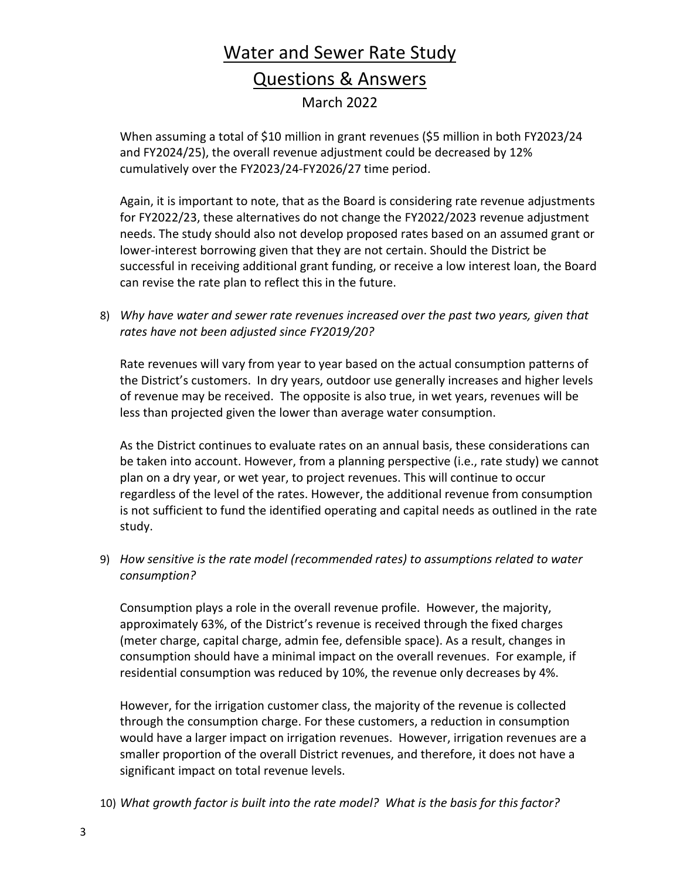When assuming a total of \$10 million in grant revenues (\$5 million in both FY2023/24 and FY2024/25), the overall revenue adjustment could be decreased by 12% cumulatively over the FY2023/24-FY2026/27 time period.

Again, it is important to note, that as the Board is considering rate revenue adjustments for FY2022/23, these alternatives do not change the FY2022/2023 revenue adjustment needs. The study should also not develop proposed rates based on an assumed grant or lower-interest borrowing given that they are not certain. Should the District be successful in receiving additional grant funding, or receive a low interest loan, the Board can revise the rate plan to reflect this in the future.

8) *Why have water and sewer rate revenues increased over the past two years, given that rates have not been adjusted since FY2019/20?*

Rate revenues will vary from year to year based on the actual consumption patterns of the District's customers. In dry years, outdoor use generally increases and higher levels of revenue may be received. The opposite is also true, in wet years, revenues will be less than projected given the lower than average water consumption.

As the District continues to evaluate rates on an annual basis, these considerations can be taken into account. However, from a planning perspective (i.e., rate study) we cannot plan on a dry year, or wet year, to project revenues. This will continue to occur regardless of the level of the rates. However, the additional revenue from consumption is not sufficient to fund the identified operating and capital needs as outlined in the rate study.

9) *How sensitive is the rate model (recommended rates) to assumptions related to water consumption?*

Consumption plays a role in the overall revenue profile. However, the majority, approximately 63%, of the District's revenue is received through the fixed charges (meter charge, capital charge, admin fee, defensible space). As a result, changes in consumption should have a minimal impact on the overall revenues. For example, if residential consumption was reduced by 10%, the revenue only decreases by 4%.

However, for the irrigation customer class, the majority of the revenue is collected through the consumption charge. For these customers, a reduction in consumption would have a larger impact on irrigation revenues. However, irrigation revenues are a smaller proportion of the overall District revenues, and therefore, it does not have a significant impact on total revenue levels.

10) *What growth factor is built into the rate model? What is the basis for this factor?*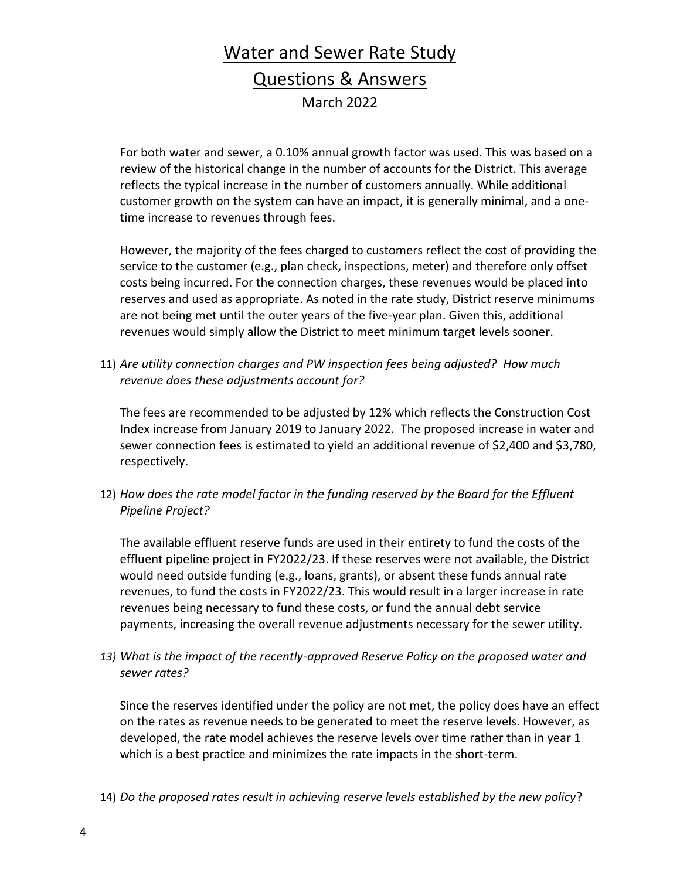For both water and sewer, a 0.10% annual growth factor was used. This was based on a review of the historical change in the number of accounts for the District. This average reflects the typical increase in the number of customers annually. While additional customer growth on the system can have an impact, it is generally minimal, and a onetime increase to revenues through fees.

However, the majority of the fees charged to customers reflect the cost of providing the service to the customer (e.g., plan check, inspections, meter) and therefore only offset costs being incurred. For the connection charges, these revenues would be placed into reserves and used as appropriate. As noted in the rate study, District reserve minimums are not being met until the outer years of the five-year plan. Given this, additional revenues would simply allow the District to meet minimum target levels sooner.

11) *Are utility connection charges and PW inspection fees being adjusted? How much revenue does these adjustments account for?*

The fees are recommended to be adjusted by 12% which reflects the Construction Cost Index increase from January 2019 to January 2022. The proposed increase in water and sewer connection fees is estimated to yield an additional revenue of \$2,400 and \$3,780, respectively.

12) *How does the rate model factor in the funding reserved by the Board for the Effluent Pipeline Project?*

The available effluent reserve funds are used in their entirety to fund the costs of the effluent pipeline project in FY2022/23. If these reserves were not available, the District would need outside funding (e.g., loans, grants), or absent these funds annual rate revenues, to fund the costs in FY2022/23. This would result in a larger increase in rate revenues being necessary to fund these costs, or fund the annual debt service payments, increasing the overall revenue adjustments necessary for the sewer utility.

*13) What is the impact of the recently-approved Reserve Policy on the proposed water and sewer rates?*

Since the reserves identified under the policy are not met, the policy does have an effect on the rates as revenue needs to be generated to meet the reserve levels. However, as developed, the rate model achieves the reserve levels over time rather than in year 1 which is a best practice and minimizes the rate impacts in the short-term.

14) *Do the proposed rates result in achieving reserve levels established by the new policy*?